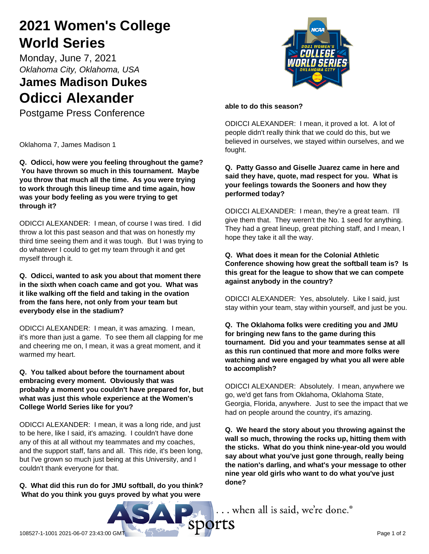# **2021 Women's College World Series**

Monday, June 7, 2021 *Oklahoma City, Oklahoma, USA*

# **James Madison Dukes Odicci Alexander**

Postgame Press Conference

Oklahoma 7, James Madison 1

**Q. Odicci, how were you feeling throughout the game? You have thrown so much in this tournament. Maybe you throw that much all the time. As you were trying to work through this lineup time and time again, how was your body feeling as you were trying to get through it?**

ODICCI ALEXANDER: I mean, of course I was tired. I did throw a lot this past season and that was on honestly my third time seeing them and it was tough. But I was trying to do whatever I could to get my team through it and get myself through it.

#### **Q. Odicci, wanted to ask you about that moment there in the sixth when coach came and got you. What was it like walking off the field and taking in the ovation from the fans here, not only from your team but everybody else in the stadium?**

ODICCI ALEXANDER: I mean, it was amazing. I mean, it's more than just a game. To see them all clapping for me and cheering me on, I mean, it was a great moment, and it warmed my heart.

#### **Q. You talked about before the tournament about embracing every moment. Obviously that was probably a moment you couldn't have prepared for, but what was just this whole experience at the Women's College World Series like for you?**

ODICCI ALEXANDER: I mean, it was a long ride, and just to be here, like I said, it's amazing. I couldn't have done any of this at all without my teammates and my coaches, and the support staff, fans and all. This ride, it's been long, but I've grown so much just being at this University, and I couldn't thank everyone for that.

**Q. What did this run do for JMU softball, do you think? What do you think you guys proved by what you were**



### **able to do this season?**

ODICCI ALEXANDER: I mean, it proved a lot. A lot of people didn't really think that we could do this, but we believed in ourselves, we stayed within ourselves, and we fought.

## **Q. Patty Gasso and Giselle Juarez came in here and said they have, quote, mad respect for you. What is your feelings towards the Sooners and how they performed today?**

ODICCI ALEXANDER: I mean, they're a great team. I'll give them that. They weren't the No. 1 seed for anything. They had a great lineup, great pitching staff, and I mean, I hope they take it all the way.

## **Q. What does it mean for the Colonial Athletic Conference showing how great the softball team is? Is this great for the league to show that we can compete against anybody in the country?**

ODICCI ALEXANDER: Yes, absolutely. Like I said, just stay within your team, stay within yourself, and just be you.

#### **Q. The Oklahoma folks were crediting you and JMU for bringing new fans to the game during this tournament. Did you and your teammates sense at all as this run continued that more and more folks were watching and were engaged by what you all were able to accomplish?**

ODICCI ALEXANDER: Absolutely. I mean, anywhere we go, we'd get fans from Oklahoma, Oklahoma State, Georgia, Florida, anywhere. Just to see the impact that we had on people around the country, it's amazing.

**Q. We heard the story about you throwing against the wall so much, throwing the rocks up, hitting them with the sticks. What do you think nine-year-old you would say about what you've just gone through, really being the nation's darling, and what's your message to other nine year old girls who want to do what you've just done?**

... when all is said, we're done.

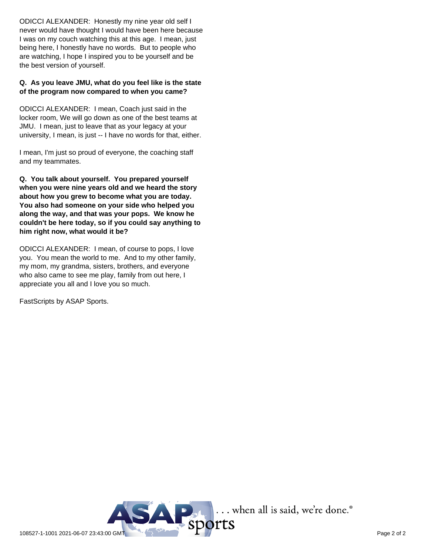ODICCI ALEXANDER: Honestly my nine year old self I never would have thought I would have been here because I was on my couch watching this at this age. I mean, just being here, I honestly have no words. But to people who are watching, I hope I inspired you to be yourself and be the best version of yourself.

#### **Q. As you leave JMU, what do you feel like is the state of the program now compared to when you came?**

ODICCI ALEXANDER: I mean, Coach just said in the locker room, We will go down as one of the best teams at JMU. I mean, just to leave that as your legacy at your university, I mean, is just -- I have no words for that, either.

I mean, I'm just so proud of everyone, the coaching staff and my teammates.

**Q. You talk about yourself. You prepared yourself when you were nine years old and we heard the story about how you grew to become what you are today. You also had someone on your side who helped you along the way, and that was your pops. We know he couldn't be here today, so if you could say anything to him right now, what would it be?**

ODICCI ALEXANDER: I mean, of course to pops, I love you. You mean the world to me. And to my other family, my mom, my grandma, sisters, brothers, and everyone who also came to see me play, family from out here, I appreciate you all and I love you so much.

FastScripts by ASAP Sports.

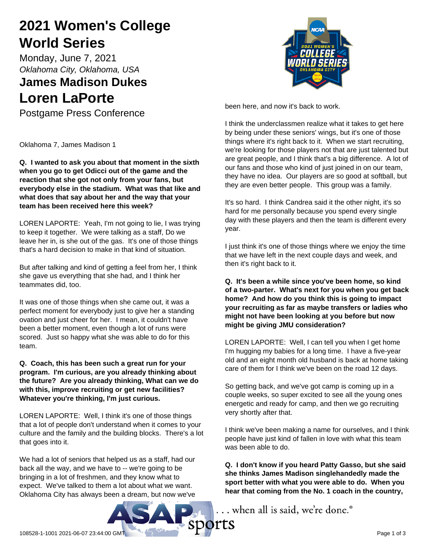# **2021 Women's College World Series**

Monday, June 7, 2021 *Oklahoma City, Oklahoma, USA*

# **James Madison Dukes Loren LaPorte**

Postgame Press Conference

Oklahoma 7, James Madison 1

**Q. I wanted to ask you about that moment in the sixth when you go to get Odicci out of the game and the reaction that she got not only from your fans, but everybody else in the stadium. What was that like and what does that say about her and the way that your team has been received here this week?**

LOREN LAPORTE: Yeah, I'm not going to lie, I was trying to keep it together. We were talking as a staff, Do we leave her in, is she out of the gas. It's one of those things that's a hard decision to make in that kind of situation.

But after talking and kind of getting a feel from her, I think she gave us everything that she had, and I think her teammates did, too.

It was one of those things when she came out, it was a perfect moment for everybody just to give her a standing ovation and just cheer for her. I mean, it couldn't have been a better moment, even though a lot of runs were scored. Just so happy what she was able to do for this team.

**Q. Coach, this has been such a great run for your program. I'm curious, are you already thinking about the future? Are you already thinking, What can we do with this, improve recruiting or get new facilities? Whatever you're thinking, I'm just curious.**

LOREN LAPORTE: Well, I think it's one of those things that a lot of people don't understand when it comes to your culture and the family and the building blocks. There's a lot that goes into it.

We had a lot of seniors that helped us as a staff, had our back all the way, and we have to -- we're going to be bringing in a lot of freshmen, and they know what to expect. We've talked to them a lot about what we want. Oklahoma City has always been a dream, but now we've



been here, and now it's back to work.

I think the underclassmen realize what it takes to get here by being under these seniors' wings, but it's one of those things where it's right back to it. When we start recruiting, we're looking for those players not that are just talented but are great people, and I think that's a big difference. A lot of our fans and those who kind of just joined in on our team, they have no idea. Our players are so good at softball, but they are even better people. This group was a family.

It's so hard. I think Candrea said it the other night, it's so hard for me personally because you spend every single day with these players and then the team is different every year.

I just think it's one of those things where we enjoy the time that we have left in the next couple days and week, and then it's right back to it.

**Q. It's been a while since you've been home, so kind of a two-parter. What's next for you when you get back home? And how do you think this is going to impact your recruiting as far as maybe transfers or ladies who might not have been looking at you before but now might be giving JMU consideration?**

LOREN LAPORTE: Well, I can tell you when I get home I'm hugging my babies for a long time. I have a five-year old and an eight month old husband is back at home taking care of them for I think we've been on the road 12 days.

So getting back, and we've got camp is coming up in a couple weeks, so super excited to see all the young ones energetic and ready for camp, and then we go recruiting very shortly after that.

I think we've been making a name for ourselves, and I think people have just kind of fallen in love with what this team was been able to do.

**Q. I don't know if you heard Patty Gasso, but she said she thinks James Madison singlehandedly made the sport better with what you were able to do. When you hear that coming from the No. 1 coach in the country,**

... when all is said, we're done.<sup>®</sup>

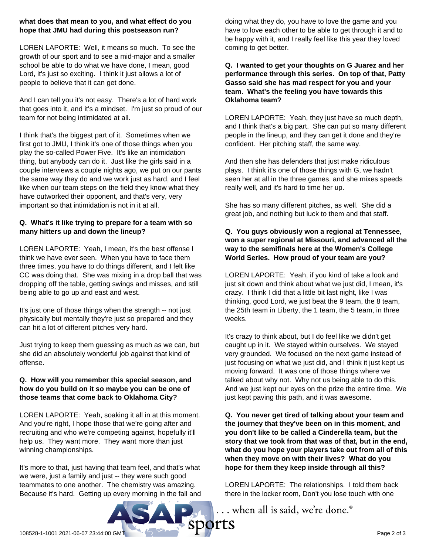#### **what does that mean to you, and what effect do you hope that JMU had during this postseason run?**

LOREN LAPORTE: Well, it means so much. To see the growth of our sport and to see a mid-major and a smaller school be able to do what we have done, I mean, good Lord, it's just so exciting. I think it just allows a lot of people to believe that it can get done.

And I can tell you it's not easy. There's a lot of hard work that goes into it, and it's a mindset. I'm just so proud of our team for not being intimidated at all.

I think that's the biggest part of it. Sometimes when we first got to JMU, I think it's one of those things when you play the so-called Power Five. It's like an intimidation thing, but anybody can do it. Just like the girls said in a couple interviews a couple nights ago, we put on our pants the same way they do and we work just as hard, and I feel like when our team steps on the field they know what they have outworked their opponent, and that's very, very important so that intimidation is not in it at all.

## **Q. What's it like trying to prepare for a team with so many hitters up and down the lineup?**

LOREN LAPORTE: Yeah, I mean, it's the best offense I think we have ever seen. When you have to face them three times, you have to do things different, and I felt like CC was doing that. She was mixing in a drop ball that was dropping off the table, getting swings and misses, and still being able to go up and east and west.

It's just one of those things when the strength -- not just physically but mentally they're just so prepared and they can hit a lot of different pitches very hard.

Just trying to keep them guessing as much as we can, but she did an absolutely wonderful job against that kind of offense.

#### **Q. How will you remember this special season, and how do you build on it so maybe you can be one of those teams that come back to Oklahoma City?**

LOREN LAPORTE: Yeah, soaking it all in at this moment. And you're right, I hope those that we're going after and recruiting and who we're competing against, hopefully it'll help us. They want more. They want more than just winning championships.

It's more to that, just having that team feel, and that's what we were, just a family and just -- they were such good teammates to one another. The chemistry was amazing. Because it's hard. Getting up every morning in the fall and doing what they do, you have to love the game and you have to love each other to be able to get through it and to be happy with it, and I really feel like this year they loved coming to get better.

## **Q. I wanted to get your thoughts on G Juarez and her performance through this series. On top of that, Patty Gasso said she has mad respect for you and your team. What's the feeling you have towards this Oklahoma team?**

LOREN LAPORTE: Yeah, they just have so much depth, and I think that's a big part. She can put so many different people in the lineup, and they can get it done and they're confident. Her pitching staff, the same way.

And then she has defenders that just make ridiculous plays. I think it's one of those things with G, we hadn't seen her at all in the three games, and she mixes speeds really well, and it's hard to time her up.

She has so many different pitches, as well. She did a great job, and nothing but luck to them and that staff.

# **Q. You guys obviously won a regional at Tennessee, won a super regional at Missouri, and advanced all the way to the semifinals here at the Women's College World Series. How proud of your team are you?**

LOREN LAPORTE: Yeah, if you kind of take a look and just sit down and think about what we just did, I mean, it's crazy. I think I did that a little bit last night, like I was thinking, good Lord, we just beat the 9 team, the 8 team, the 25th team in Liberty, the 1 team, the 5 team, in three weeks.

It's crazy to think about, but I do feel like we didn't get caught up in it. We stayed within ourselves. We stayed very grounded. We focused on the next game instead of just focusing on what we just did, and I think it just kept us moving forward. It was one of those things where we talked about why not. Why not us being able to do this. And we just kept our eyes on the prize the entire time. We just kept paving this path, and it was awesome.

**Q. You never get tired of talking about your team and the journey that they've been on in this moment, and you don't like to be called a Cinderella team, but the story that we took from that was of that, but in the end, what do you hope your players take out from all of this when they move on with their lives? What do you hope for them they keep inside through all this?**

LOREN LAPORTE: The relationships. I told them back there in the locker room, Don't you lose touch with one

... when all is said, we're done.®